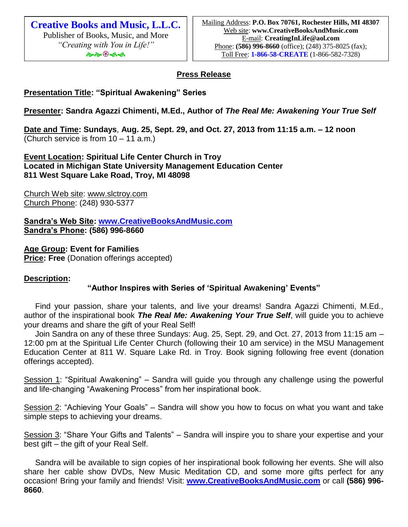**Creative Books and Music, L.L.C.** Publisher of Books, Music, and More *"Creating with You in Life!"* ๛๛๛๛๛

### **Press Release**

# **Presentation Title: "Spiritual Awakening" Series**

## **Presenter: Sandra Agazzi Chimenti, M.Ed., Author of** *The Real Me: Awakening Your True Self*

**Date and Time: Sundays**, **Aug. 25, Sept. 29, and Oct. 27, 2013 from 11:15 a.m. – 12 noon** (Church service is from 10 – 11 a.m.)

**Event Location: Spiritual Life Center Church in Troy Located in Michigan State University Management Education Center 811 West Square Lake Road, Troy, MI 48098**

Church Web site: www.slctroy.com Church Phone: (248) 930-5377

**Sandra's Web Site: [www.CreativeBooksAndMusic.com](http://www.creativebooksandmusic.com/) Sandra's Phone: (586) 996-8660**

**Age Group: Event for Families Price: Free** (Donation offerings accepted)

### **Description:**

## **"Author Inspires with Series of 'Spiritual Awakening' Events"**

 Find your passion, share your talents, and live your dreams! Sandra Agazzi Chimenti, M.Ed., author of the inspirational book *The Real Me: Awakening Your True Self*, will guide you to achieve your dreams and share the gift of your Real Self!

 Join Sandra on any of these three Sundays: Aug. 25, Sept. 29, and Oct. 27, 2013 from 11:15 am – 12:00 pm at the Spiritual Life Center Church (following their 10 am service) in the MSU Management Education Center at 811 W. Square Lake Rd. in Troy. Book signing following free event (donation offerings accepted).

Session 1: "Spiritual Awakening" – Sandra will guide you through any challenge using the powerful and life-changing "Awakening Process" from her inspirational book.

Session 2: "Achieving Your Goals" – Sandra will show you how to focus on what you want and take simple steps to achieving your dreams.

Session 3: "Share Your Gifts and Talents" – Sandra will inspire you to share your expertise and your best gift – the gift of your Real Self.

 Sandra will be available to sign copies of her inspirational book following her events. She will also share her cable show DVDs, New Music Meditation CD, and some more gifts perfect for any occasion! Bring your family and friends! Visit: **[www.CreativeBooksAndMusic.com](http://www.creativebooksandmusic.com/)** or call **(586) 996- 8660**.